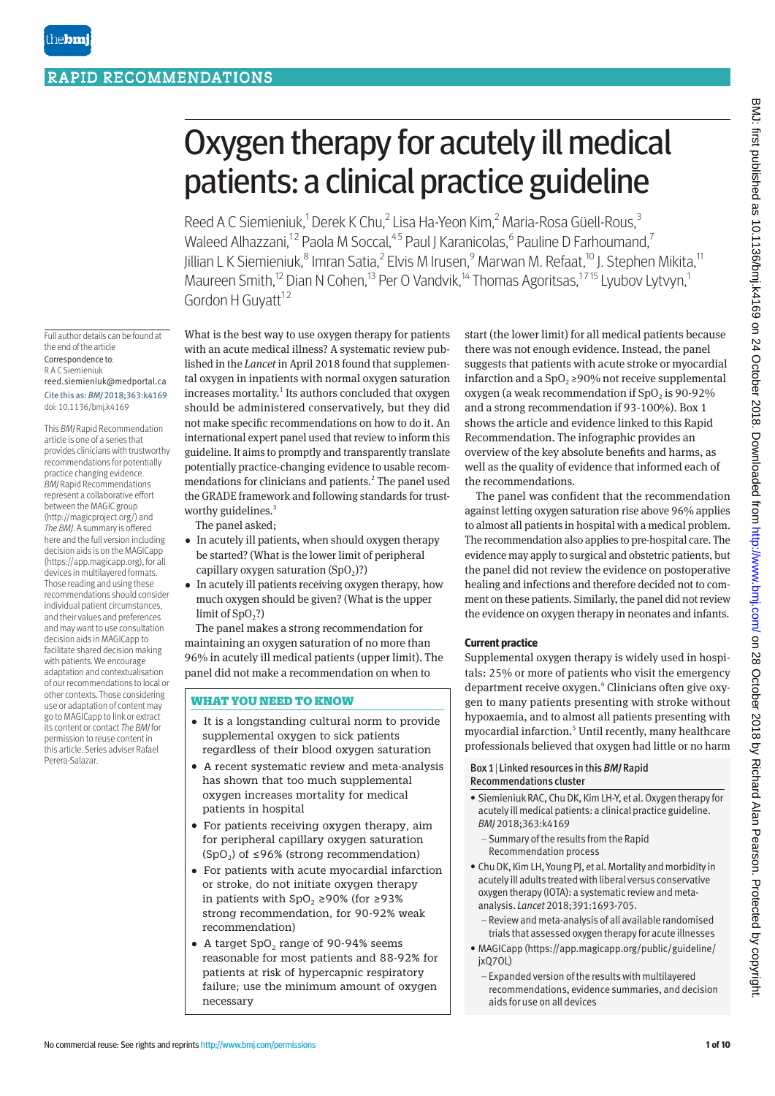# Oxygen therapy for acutely ill medical patients: a clinical practice guideline

Reed A C Siemieniuk,<sup>1</sup> Derek K Chu,<sup>2</sup> Lisa Ha-Yeon Kim,<sup>2</sup> Maria-Rosa Güell-Rous,<sup>3</sup> Waleed Alhazzani,<sup>12</sup> Paola M Soccal,<sup>45</sup> Paul J Karanicolas,<sup>6</sup> Pauline D Farhoumand,<sup>7</sup> Jillian L K Siemieniuk, $^8$  Imran Satia, $^2$  Elvis M Irusen, $^9$  Marwan M. Refaat, $^{\rm 10}$  J. Stephen Mikita, $^{\rm 11}$ Maureen Smith,<sup>12</sup> Dian N Cohen,<sup>13</sup> Per O Vandvik,<sup>14</sup> Thomas Agoritsas,<sup>1715</sup> Lyubov Lytvyn,<sup>1</sup> Gordon H Guvatt $12$ 

Full author details can be found at the end of the article Correspondence to: R A C Siemieniuk reed.siemieniuk@medportal.ca Cite this as: *BMJ* 2018;363:k4169 doi: 10.1136/bmj.k4169

This *BMJ* Rapid Recommendation article is one of a series that provides clinicians with trustworthy recommendations for potentially practice changing evidence. *BMJ* Rapid Recommendations represent a collaborative effort between the MAGIC group (http://magicproject.org/) and *The BMJ*. A summary is offered here and the full version including decision aids is on the MAGICapp (https://app.magicapp.org), for all devices in multilayered formats. Those reading and using these recommendations should consider individual patient circumstances, and their values and preferences and may want to use consultation decision aids in MAGICapp to facilitate shared decision making with patients. We encourage adaptation and contextualisation of our recommendations to local or other contexts. Those considering use or adaptation of content may go to MAGICapp to link or extract its content or contact *The BMJ* for permission to reuse content in this article. Series adviser Rafael Perera-Salazar.

What is the best way to use oxygen therapy for patients with an acute medical illness? A systematic review published in the *Lancet* in April 2018 found that supplemental oxygen in inpatients with normal oxygen saturation increases mortality.<sup>1</sup> Its authors concluded that oxygen should be administered conservatively, but they did not make specific recommendations on how to do it. An international expert panel used that review to inform this guideline. It aims to promptly and transparently translate potentially practice-changing evidence to usable recommendations for clinicians and patients.<sup>2</sup> The panel used the GRADE framework and following standards for trustworthy guidelines.<sup>3</sup>

The panel asked;

- In acutely ill patients, when should oxygen therapy be started? (What is the lower limit of peripheral capillary oxygen saturation  $(SpO<sub>2</sub>)$ ?)
- In acutely ill patients receiving oxygen therapy, how much oxygen should be given? (What is the upper limit of  $SpO<sub>2</sub>$ ?)

The panel makes a strong recommendation for maintaining an oxygen saturation of no more than 96% in acutely ill medical patients (upper limit). The panel did not make a recommendation on when to

# WHAT YOU NEED TO KNOW

- •  It is a longstanding cultural norm to provide supplemental oxygen to sick patients regardless of their blood oxygen saturation
- A recent systematic review and meta-analysis has shown that too much supplemental oxygen increases mortality for medical patients in hospital
- For patients receiving oxygen therapy, aim for peripheral capillary oxygen saturation (SpO<sub>2</sub>) of ≤96% (strong recommendation)
- •  For patients with acute myocardial infarction or stroke, do not initiate oxygen therapy in patients with SpO<sub>2</sub> ≥90% (for ≥93% strong recommendation, for 90-92% weak recommendation)
- A target SpO<sub>2</sub> range of 90-94% seems reasonable for most patients and 88-92% for patients at risk of hypercapnic respiratory failure; use the minimum amount of oxygen necessary

start (the lower limit) for all medical patients because there was not enough evidence. Instead, the panel suggests that patients with acute stroke or myocardial infarction and a  $SpO<sub>2</sub> \ge 90\%$  not receive supplemental oxygen (a weak recommendation if  $SpO<sub>2</sub>$  is 90-92% and a strong recommendation if 93-100%). Box 1 shows the article and evidence linked to this Rapid Recommendation. The infographic provides an overview of the key absolute benefits and harms, as well as the quality of evidence that informed each of the recommendations.

The panel was confident that the recommendation against letting oxygen saturation rise above 96% applies to almost all patients in hospital with a medical problem. The recommendation also applies to pre-hospital care. The evidence may apply to surgical and obstetric patients, but the panel did not review the evidence on postoperative healing and infections and therefore decided not to comment on these patients. Similarly, the panel did not review the evidence on oxygen therapy in neonates and infants.

# **Current practice**

Supplemental oxygen therapy is widely used in hospitals: 25% or more of patients who visit the emergency department receive oxygen.<sup>4</sup> Clinicians often give oxygen to many patients presenting with stroke without hypoxaemia, and to almost all patients presenting with myocardial infarction.<sup>5</sup> Until recently, many healthcare professionals believed that oxygen had little or no harm

#### Box 1| Linked resources in this *BMJ* Rapid Recommendations cluster

- Siemieniuk RAC, Chu DK, Kim LH-Y, et al. Oxygen therapy for acutely ill medical patients: a clinical practice guideline. *BMJ* 2018;363:k4169
	- Summary of the results from the Rapid Recommendation process
- Chu DK, Kim LH, Young PJ, et al. Mortality and morbidity in acutely ill adults treated with liberal versus conservative oxygen therapy (IOTA): a systematic review and metaanalysis. *Lancet* 2018;391:1693-705.
	- Review and meta-analysis of all available randomised trials that assessed oxygen therapy for acute illnesses
- MAGICapp (https://app.magicapp.org/public/guideline/ jxQ7OL)
	- Expanded version of the results with multilayered recommendations, evidence summaries, and decision aids for use on all devices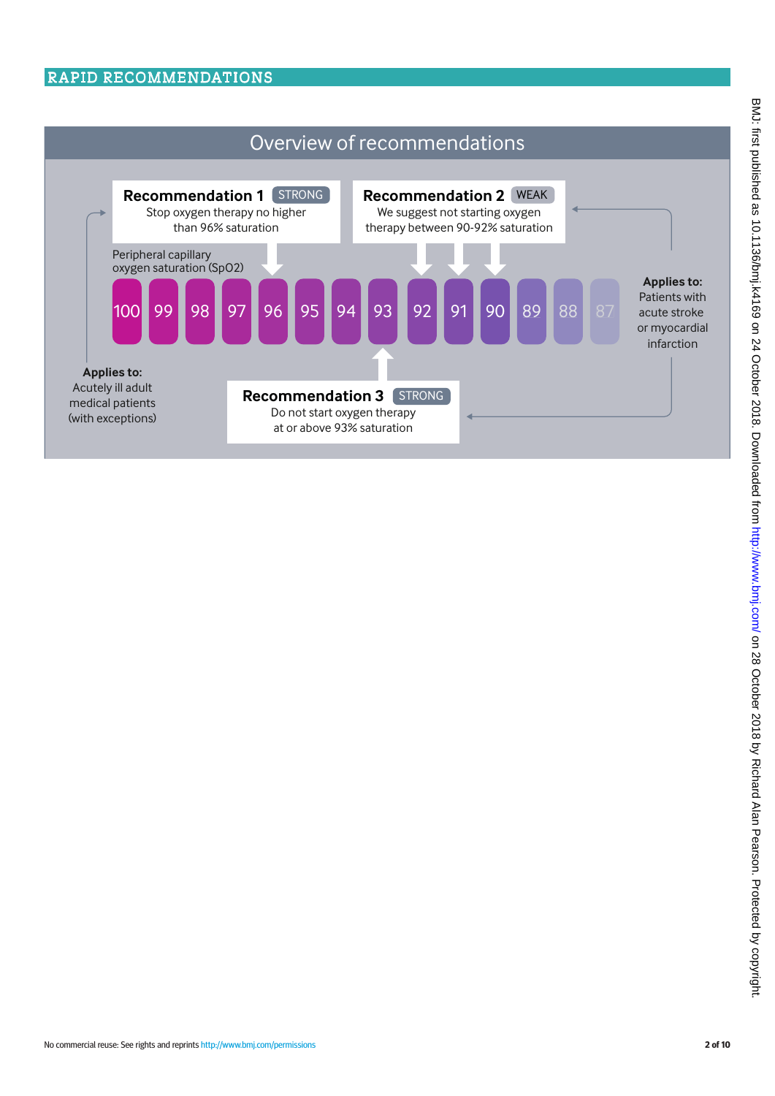# RAPID RECOMMENDATIONS

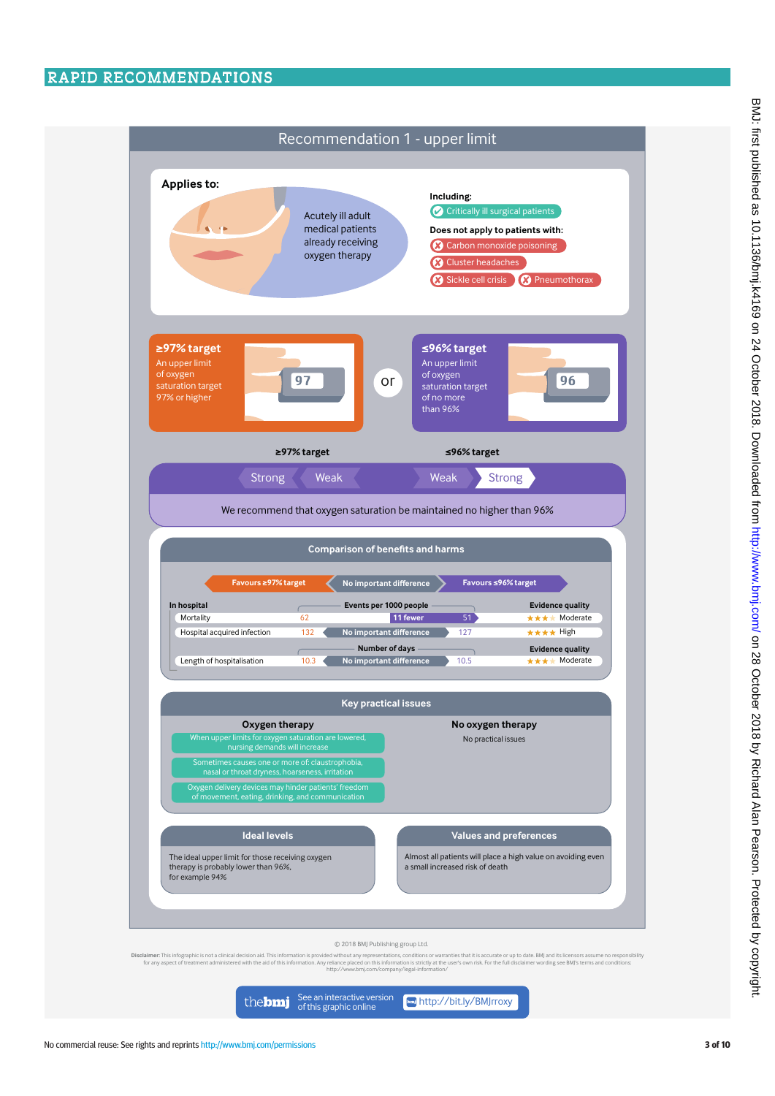

See an interactive version<br>of this graphic online<br> the**bmj**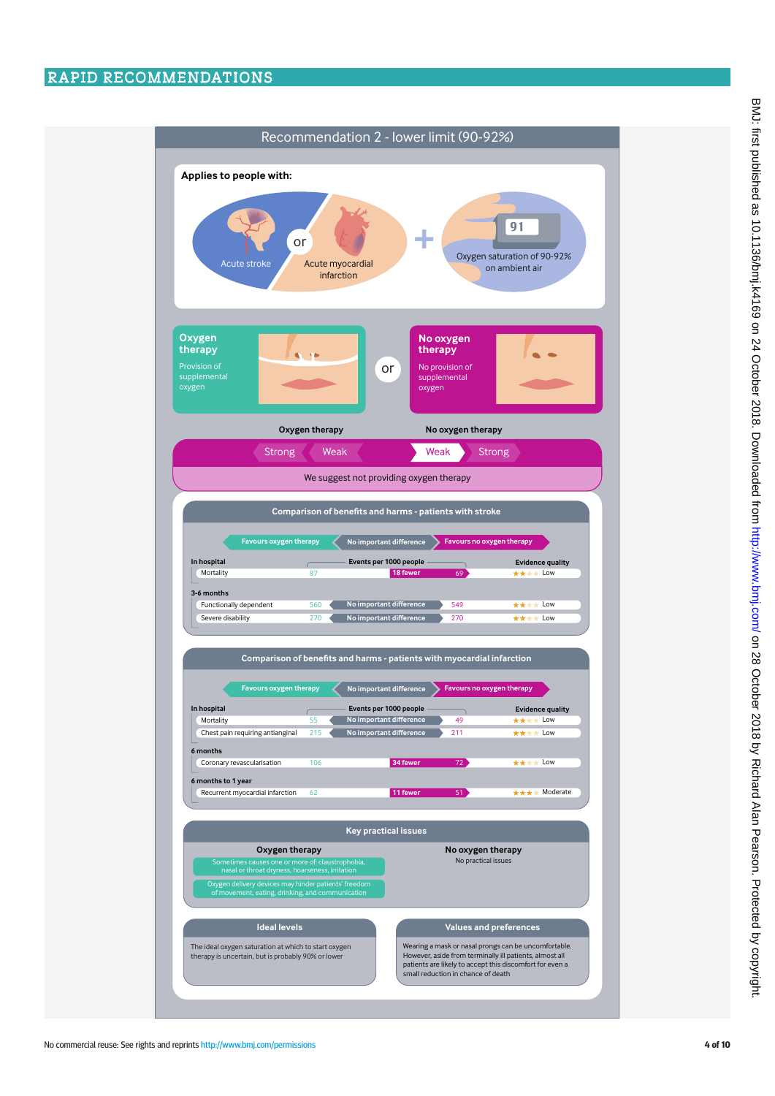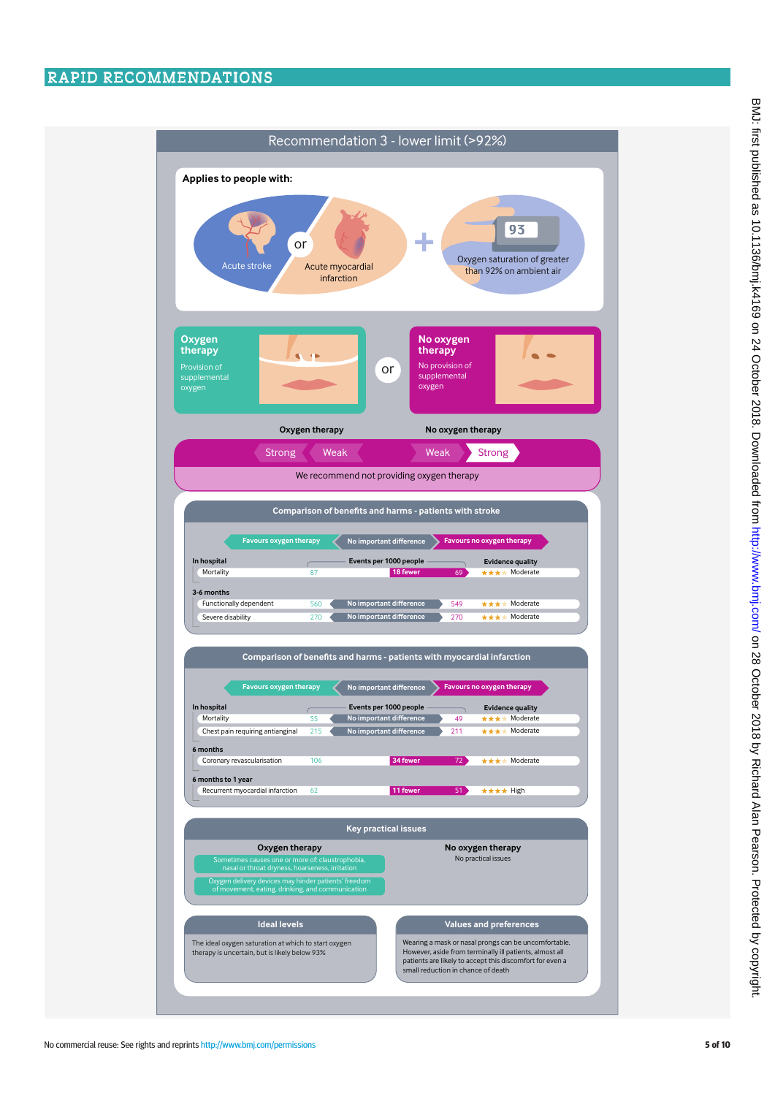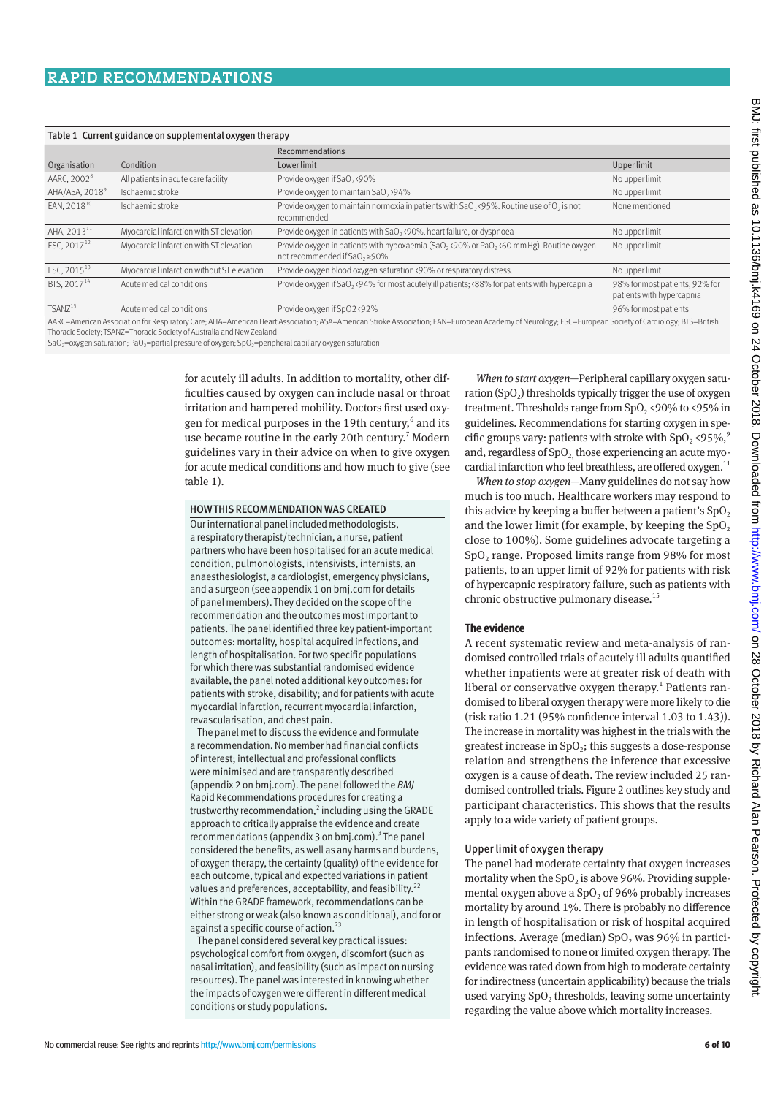#### Table 1|Current guidance on supplemental oxygen therapy

|                            |                                            | Recommendations                                                                                                          |                                                             |
|----------------------------|--------------------------------------------|--------------------------------------------------------------------------------------------------------------------------|-------------------------------------------------------------|
| Organisation               | Condition                                  | Lower limit                                                                                                              | Upper limit                                                 |
| AARC, 2002 <sup>8</sup>    | All patients in acute care facility        | Provide oxygen if SaO, <90%                                                                                              | No upper limit                                              |
| AHA/ASA, 2018 <sup>9</sup> | Ischaemic stroke                           | Provide oxygen to maintain SaO <sub>2</sub> >94%                                                                         | No upper limit                                              |
| EAN. 2018 <sup>10</sup>    | Ischaemic stroke                           | Provide oxygen to maintain normoxia in patients with $SaO_2$ , (95%. Routine use of $O_2$ is not<br>recommended          | None mentioned                                              |
| AHA, 2013 <sup>11</sup>    | Myocardial infarction with ST elevation    | Provide oxygen in patients with SaO <sub>2</sub> <90%, heart failure, or dyspnoea                                        | No upper limit                                              |
| ESC, $2017^{12}$           | Myocardial infarction with ST elevation    | Provide oxygen in patients with hypoxaemia (SaO, <90% or PaO, <60 mm Hg). Routine oxygen<br>not recommended if SaO, ≥90% | No upper limit                                              |
| ESC, 2015 <sup>13</sup>    | Myocardial infarction without ST elevation | Provide oxygen blood oxygen saturation <90% or respiratory distress.                                                     | No upper limit                                              |
| BTS, 2017 <sup>14</sup>    | Acute medical conditions                   | Provide oxygen if SaO <sub>2</sub> <94% for most acutely ill patients; <88% for patients with hypercapnia                | 98% for most patients, 92% for<br>patients with hypercapnia |
| TSANZ <sup>15</sup>        | Acute medical conditions                   | Provide oxygen if SpO2 <92%                                                                                              | 96% for most patients                                       |

AARC=American Association for Respiratory Care; AHA=American Heart Association; ASA=American Stroke Association; EAN=European Academy of Neurology; ESC=European Society of Cardiology; BTS=British Thoracic Society; TSANZ=Thoracic Society of Australia and New Zealand.

SaO<sub>2</sub>=oxygen saturation; PaO<sub>2</sub>=partial pressure of oxygen; SpO<sub>2</sub>=peripheral capillary oxygen saturation

for acutely ill adults. In addition to mortality, other difficulties caused by oxygen can include nasal or throat irritation and hampered mobility. Doctors first used oxygen for medical purposes in the 19th century,<sup>6</sup> and its use became routine in the early 20th century.<sup>7</sup> Modern guidelines vary in their advice on when to give oxygen for acute medical conditions and how much to give (see table 1).

#### HOW THIS RECOMMENDATION WAS CREATED

Our international panel included methodologists, a respiratory therapist/technician, a nurse, patient partners who have been hospitalised for an acute medical condition, pulmonologists, intensivists, internists, an anaesthesiologist, a cardiologist, emergency physicians, and a surgeon (see appendix 1 on bmj.com for details of panel members). They decided on the scope of the recommendation and the outcomes most important to patients. The panel identified three key patient-important outcomes: mortality, hospital acquired infections, and length of hospitalisation. For two specific populations for which there was substantial randomised evidence available, the panel noted additional key outcomes: for patients with stroke, disability; and for patients with acute myocardial infarction, recurrent myocardial infarction, revascularisation, and chest pain.

The panel met to discuss the evidence and formulate a recommendation. No member had financial conflicts of interest; intellectual and professional conflicts were minimised and are transparently described (appendix 2 on bmj.com). The panel followed the *BMJ* Rapid Recommendations procedures for creating a trustworthy recommendation,<sup>2</sup> including using the GRADE approach to critically appraise the evidence and create recommendations (appendix 3 on bmj.com).<sup>3</sup> The panel considered the benefits, as well as any harms and burdens, of oxygen therapy, the certainty (quality) of the evidence for each outcome, typical and expected variations in patient values and preferences, acceptability, and feasibility.<sup>22</sup> Within the GRADE framework, recommendations can be either strong or weak (also known as conditional), and for or against a specific course of action. $^{23}$ 

The panel considered several key practical issues: psychological comfort from oxygen, discomfort (such as nasal irritation), and feasibility (such as impact on nursing resources). The panel was interested in knowing whether the impacts of oxygen were different in different medical conditions or study populations.

*When to start oxygen*—Peripheral capillary oxygen saturation  $(SpO<sub>2</sub>)$  thresholds typically trigger the use of oxygen treatment. Thresholds range from  $SpO_2$  <90% to <95% in guidelines. Recommendations for starting oxygen in specific groups vary: patients with stroke with  $SpO_2$  <95%,<sup>9</sup> and, regardless of  $SpO<sub>2</sub>$  those experiencing an acute myocardial infarction who feel breathless, are offered oxygen.<sup>11</sup>

*When to stop oxygen*—Many guidelines do not say how much is too much. Healthcare workers may respond to this advice by keeping a buffer between a patient's  $SpO<sub>2</sub>$ and the lower limit (for example, by keeping the  $SpO<sub>2</sub>$ close to 100%). Some guidelines advocate targeting a SpO<sub>2</sub> range. Proposed limits range from 98% for most patients, to an upper limit of 92% for patients with risk of hypercapnic respiratory failure, such as patients with chronic obstructive pulmonary disease.<sup>15</sup>

#### **The evidence**

A recent systematic review and meta-analysis of randomised controlled trials of acutely ill adults quantified whether inpatients were at greater risk of death with liberal or conservative oxygen therapy.<sup>1</sup> Patients randomised to liberal oxygen therapy were more likely to die (risk ratio 1.21 (95% confidence interval 1.03 to 1.43)). The increase in mortality was highest in the trials with the greatest increase in  $SpO<sub>2</sub>$ ; this suggests a dose-response relation and strengthens the inference that excessive oxygen is a cause of death. The review included 25 randomised controlled trials. Figure 2 outlines key study and participant characteristics. This shows that the results apply to a wide variety of patient groups.

#### Upper limit of oxygen therapy

The panel had moderate certainty that oxygen increases mortality when the  $SpO<sub>2</sub>$  is above 96%. Providing supplemental oxygen above a  $SpO<sub>2</sub>$  of 96% probably increases mortality by around 1%. There is probably no difference in length of hospitalisation or risk of hospital acquired infections. Average (median)  $SpO$ , was 96% in participants randomised to none or limited oxygen therapy. The evidence was rated down from high to moderate certainty for indirectness (uncertain applicability) because the trials used varying  $SpO<sub>2</sub>$  thresholds, leaving some uncertainty regarding the value above which mortality increases.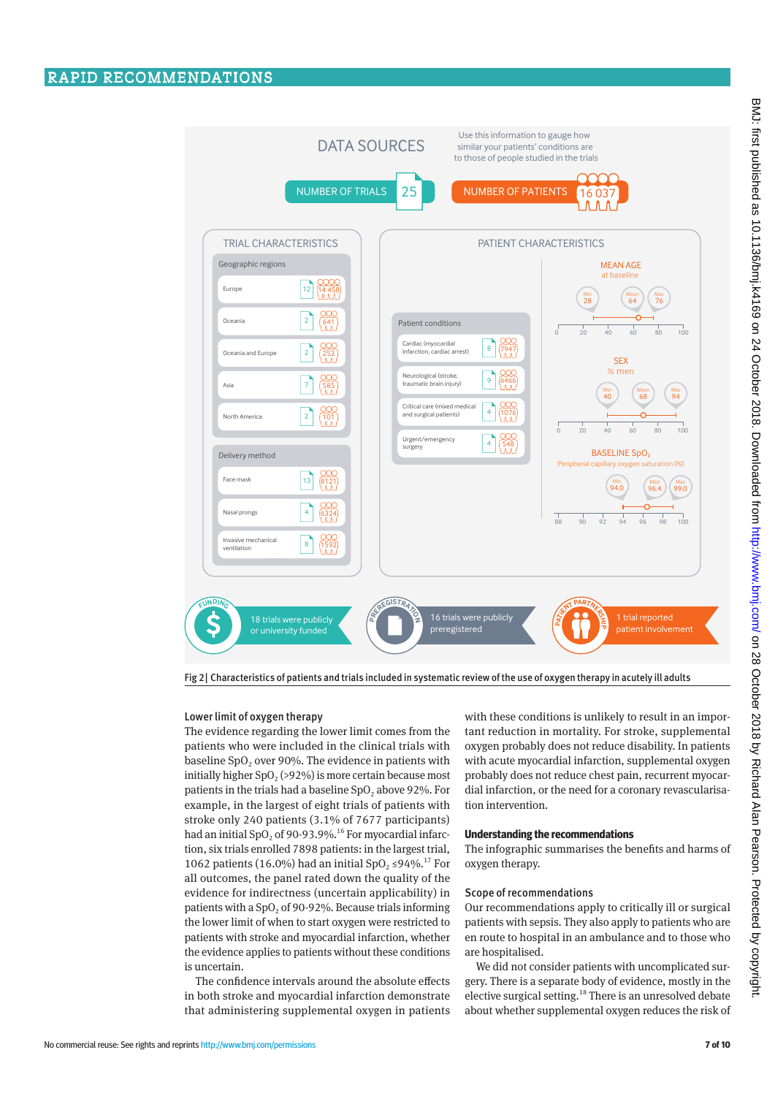

Fig 2| Characteristics of patients and trials included in systematic review of the use of oxygen therapy in acutely ill adults

#### Lower limit of oxygen therapy

The evidence regarding the lower limit comes from the patients who were included in the clinical trials with baseline  $SpO<sub>2</sub>$  over 90%. The evidence in patients with initially higher  $SpO<sub>2</sub>(>92%)$  is more certain because most patients in the trials had a baseline  $SpO<sub>2</sub>$  above 92%. For example, in the largest of eight trials of patients with stroke only 240 patients (3.1% of 7677 participants) had an initial SpO<sub>2</sub> of 90-93.9%.<sup>16</sup> For myocardial infarction, six trials enrolled 7898 patients: in the largest trial, 1062 patients (16.0%) had an initial SpO<sub>2</sub> ≤94%.<sup>17</sup> For all outcomes, the panel rated down the quality of the evidence for indirectness (uncertain applicability) in patients with a  $SpO<sub>2</sub>$  of 90-92%. Because trials informing the lower limit of when to start oxygen were restricted to patients with stroke and myocardial infarction, whether the evidence applies to patients without these conditions is uncertain.

The confidence intervals around the absolute effects in both stroke and myocardial infarction demonstrate that administering supplemental oxygen in patients

with these conditions is unlikely to result in an important reduction in mortality. For stroke, supplemental oxygen probably does not reduce disability. In patients with acute myocardial infarction, supplemental oxygen probably does not reduce chest pain, recurrent myocardial infarction, or the need for a coronary revascularisation intervention.

#### **Understanding the recommendations**

The infographic summarises the benefits and harms of oxygen therapy.

#### Scope of recommendations

Our recommendations apply to critically ill or surgical patients with sepsis. They also apply to patients who are en route to hospital in an ambulance and to those who are hospitalised.

We did not consider patients with uncomplicated surgery. There is a separate body of evidence, mostly in the elective surgical setting.<sup>18</sup> There is an unresolved debate about whether supplemental oxygen reduces the risk of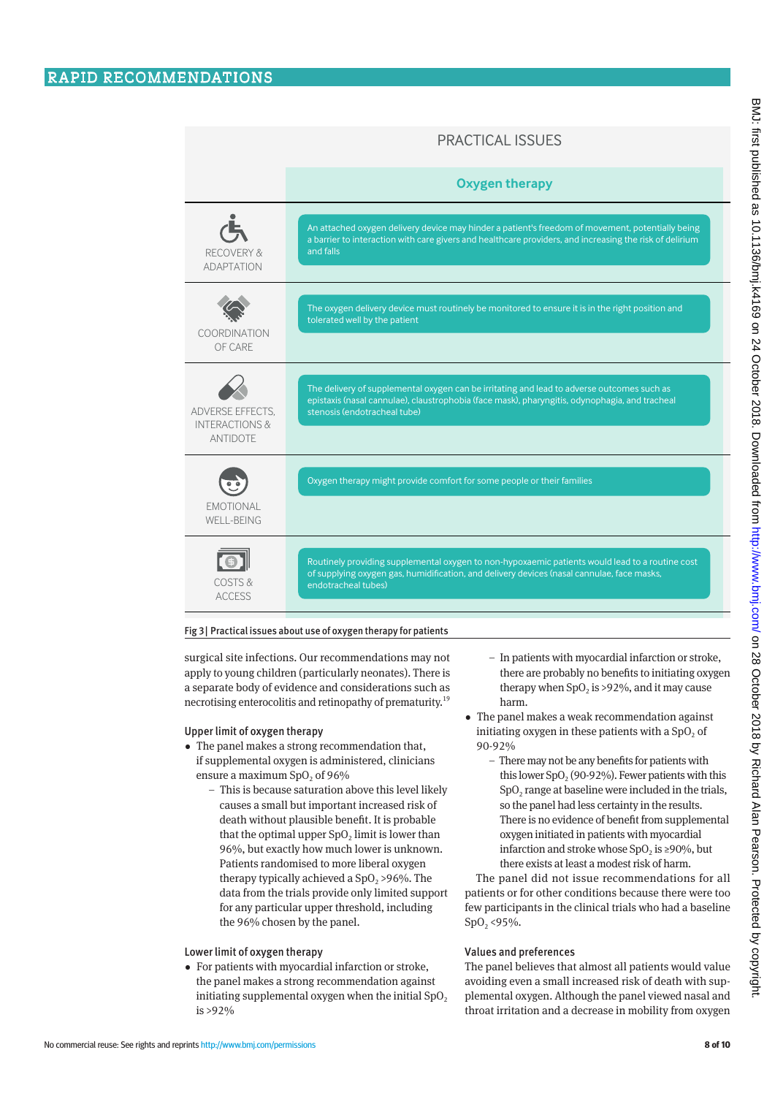# PRACTICAL ISSUES

|                                | <b>Oxygen therapy</b>                                                                                                                                                                                                |
|--------------------------------|----------------------------------------------------------------------------------------------------------------------------------------------------------------------------------------------------------------------|
| $\epsilon$                     | An attached oxygen delivery device may hinder a patient's freedom of movement, potentially being                                                                                                                     |
| RECOVERY &                     | a barrier to interaction with care givers and healthcare providers, and increasing the risk of delirium                                                                                                              |
| ΑΓΑΡΤΑΤΙΟΝ                     | and falls                                                                                                                                                                                                            |
| COORDINATION                   | The oxygen delivery device must routinely be monitored to ensure it is in the right position and                                                                                                                     |
| OF CARE                        | tolerated well by the patient                                                                                                                                                                                        |
| ADVERSE EFFECTS.               | The delivery of supplemental oxygen can be irritating and lead to adverse outcomes such as                                                                                                                           |
| <b>INTERACTIONS &amp;</b>      | epistaxis (nasal cannulae), claustrophobia (face mask), pharyngitis, odynophagia, and tracheal                                                                                                                       |
| <b>ANTIDOTE</b>                | stenosis (endotracheal tube)                                                                                                                                                                                         |
| <b>EMOTIONAL</b><br>WELL-BEING | Oxygen therapy might provide comfort for some people or their families                                                                                                                                               |
| COSTS &<br><b>ACCESS</b>       | Routinely providing supplemental oxygen to non-hypoxaemic patients would lead to a routine cost<br>of supplying oxygen gas, humidification, and delivery devices (nasal cannulae, face masks,<br>endotracheal tubes) |

#### Fig 3| Practical issues about use of oxygen therapy for patients

surgical site infections. Our recommendations may not apply to young children (particularly neonates). There is a separate body of evidence and considerations such as necrotising enterocolitis and retinopathy of prematurity.<sup>19</sup>

#### Upper limit of oxygen therapy

- •  The panel makes a strong recommendation that, if supplemental oxygen is administered, clinicians ensure a maximum  $SpO<sub>2</sub>$  of 96%
	- This is because saturation above this level likely causes a small but important increased risk of death without plausible benefit. It is probable that the optimal upper  $SpO<sub>2</sub>$  limit is lower than 96%, but exactly how much lower is unknown. Patients randomised to more liberal oxygen therapy typically achieved a  $SpO<sub>2</sub> >96$ %. The data from the trials provide only limited support for any particular upper threshold, including the 96% chosen by the panel.

#### Lower limit of oxygen therapy

• For patients with myocardial infarction or stroke, the panel makes a strong recommendation against initiating supplemental oxygen when the initial  $SpO<sub>2</sub>$ is >92%

- In patients with myocardial infarction or stroke, there are probably no benefits to initiating oxygen therapy when  $SpO<sub>2</sub>$  is >92%, and it may cause harm.
- •  The panel makes a weak recommendation against initiating oxygen in these patients with a  $SpO<sub>2</sub>$  of 90-92%
	- There may not be any benefits for patients with this lower  $SpO<sub>2</sub>(90-92%)$ . Fewer patients with this  $SpO<sub>2</sub>$  range at baseline were included in the trials, so the panel had less certainty in the results. There is no evidence of benefit from supplemental oxygen initiated in patients with myocardial infarction and stroke whose  $SpO<sub>2</sub>$  is ≥90%, but there exists at least a modest risk of harm.

The panel did not issue recommendations for all patients or for other conditions because there were too few participants in the clinical trials who had a baseline  $SpO<sub>2</sub> < 95%$ .

#### Values and preferences

The panel believes that almost all patients would value avoiding even a small increased risk of death with supplemental oxygen. Although the panel viewed nasal and throat irritation and a decrease in mobility from oxygen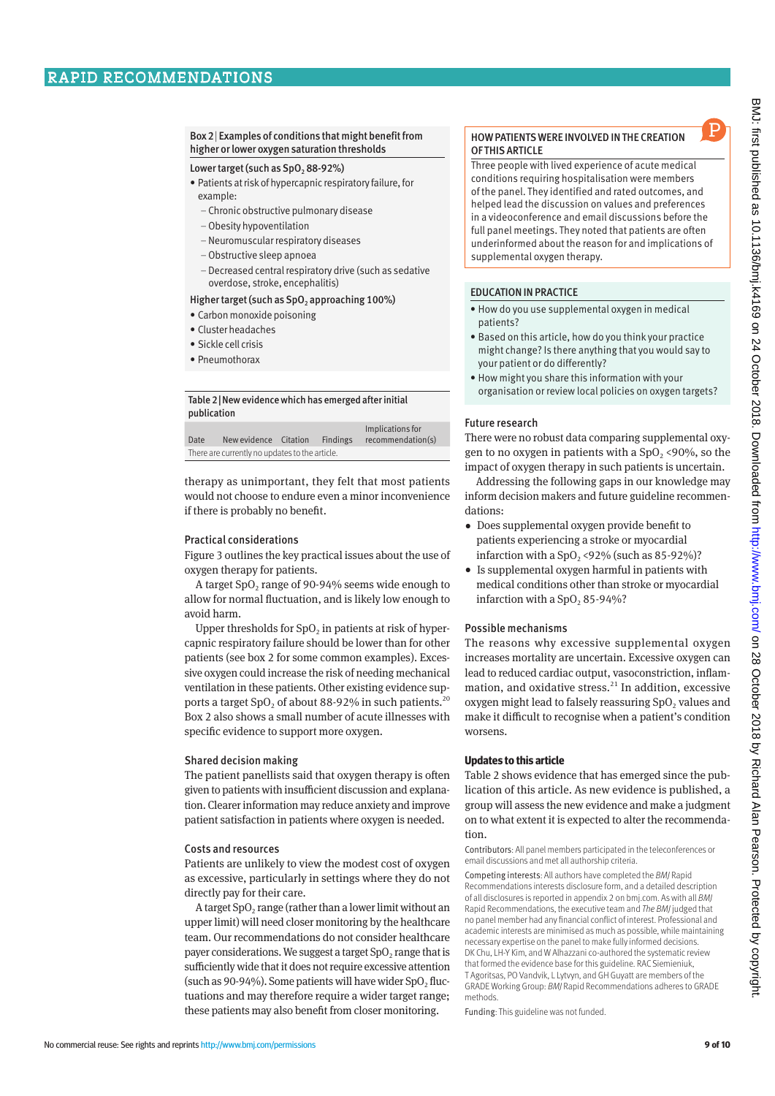#### Box 2| Examples of conditions that might benefit from higher or lower oxygen saturation thresholds

### Lower target (such as SpO<sub>2</sub> 88-92%)

- Patients at risk of hypercapnic respiratory failure, for example:
	- Chronic obstructive pulmonary disease
	- –Obesity hypoventilation
	- –Neuromuscular respiratory diseases
	- –Obstructive sleep apnoea
- –Decreased central respiratory drive (such as sedative overdose, stroke, encephalitis)

# Higher target (such as  $SpO<sub>2</sub>$  approaching 100%)

- Carbon monoxide poisoning
- Cluster headaches
- Sickle cell crisis
- Pneumothorax

## Table 2|New evidence which has emerged after initial publication

|                                                |                       |  |                 | Implications for  |
|------------------------------------------------|-----------------------|--|-----------------|-------------------|
| Date                                           | New evidence Citation |  | <b>Findings</b> | recommendation(s) |
| There are currently no updates to the article. |                       |  |                 |                   |

therapy as unimportant, they felt that most patients would not choose to endure even a minor inconvenience if there is probably no benefit.

# Practical considerations

Figure 3 outlines the key practical issues about the use of oxygen therapy for patients.

A target  $SpO<sub>2</sub>$  range of 90-94% seems wide enough to allow for normal fluctuation, and is likely low enough to avoid harm.

Upper thresholds for  $SpO<sub>2</sub>$  in patients at risk of hypercapnic respiratory failure should be lower than for other patients (see box 2 for some common examples). Excessive oxygen could increase the risk of needing mechanical ventilation in these patients. Other existing evidence supports a target SpO<sub>2</sub> of about 88-92% in such patients.<sup>20</sup> Box 2 also shows a small number of acute illnesses with specific evidence to support more oxygen.

# Shared decision making

The patient panellists said that oxygen therapy is often given to patients with insufficient discussion and explanation. Clearer information may reduce anxiety and improve patient satisfaction in patients where oxygen is needed.

# Costs and resources

Patients are unlikely to view the modest cost of oxygen as excessive, particularly in settings where they do not directly pay for their care.

A target  $SpO<sub>2</sub>$  range (rather than a lower limit without an upper limit) will need closer monitoring by the healthcare team. Our recommendations do not consider healthcare payer considerations. We suggest a target  $SpO<sub>2</sub>$  range that is sufficiently wide that it does not require excessive attention (such as  $90-94\%$ ). Some patients will have wider SpO, fluctuations and may therefore require a wider target range; these patients may also benefit from closer monitoring.

## HOW PATIENTS WERE INVOLVED IN THE CREATION OF THIS ARTICLE

Three people with lived experience of acute medical conditions requiring hospitalisation were members of the panel. They identified and rated outcomes, and helped lead the discussion on values and preferences in a videoconference and email discussions before the full panel meetings. They noted that patients are often underinformed about the reason for and implications of supplemental oxygen therapy.

# EDUCATION IN PRACTICE

- How do you use supplemental oxygen in medical patients?
- Based on this article, how do you think your practice might change? Is there anything that you would say to your patient or do differently?
- How might you share this information with your organisation or review local policies on oxygen targets?

# Future research

There were no robust data comparing supplemental oxygen to no oxygen in patients with a  $SpO<sub>2</sub>$  <90%, so the impact of oxygen therapy in such patients is uncertain.

Addressing the following gaps in our knowledge may inform decision makers and future guideline recommendations:

- •  Does supplemental oxygen provide benefit to patients experiencing a stroke or myocardial infarction with a  $SpO<sub>2</sub>$  <92% (such as 85-92%)?
- Is supplemental oxygen harmful in patients with medical conditions other than stroke or myocardial infarction with a  $SpO, 85-94%$ ?

#### Possible mechanisms

The reasons why excessive supplemental oxygen increases mortality are uncertain. Excessive oxygen can lead to reduced cardiac output, vasoconstriction, inflammation, and oxidative stress.<sup>21</sup> In addition, excessive oxygen might lead to falsely reassuring SpO<sub>2</sub> values and make it difficult to recognise when a patient's condition worsens.

#### **Updates to this article**

Table 2 shows evidence that has emerged since the publication of this article. As new evidence is published, a group will assess the new evidence and make a judgment on to what extent it is expected to alter the recommendation.

Contributors: All panel members participated in the teleconferences or email discussions and met all authorship criteria.

Competing interests: All authors have completed the *BMJ* Rapid Recommendations interests disclosure form, and a detailed description of all disclosures is reported in appendix 2 on bmj.com. As with all *BMJ* Rapid Recommendations, the executive team and *The BMJ* judged that no panel member had any financial conflict of interest. Professional and academic interests are minimised as much as possible, while maintaining necessary expertise on the panel to make fully informed decisions. DK Chu, LH-Y Kim, and W Alhazzani co-authored the systematic review that formed the evidence base for this guideline. RAC Siemieniuk, T Agoritsas, PO Vandvik, L Lytvyn, and GH Guyatt are members of the GRADE Working Group: *BMJ* Rapid Recommendations adheres to GRADE methods.

Funding: This guideline was not funded.

P